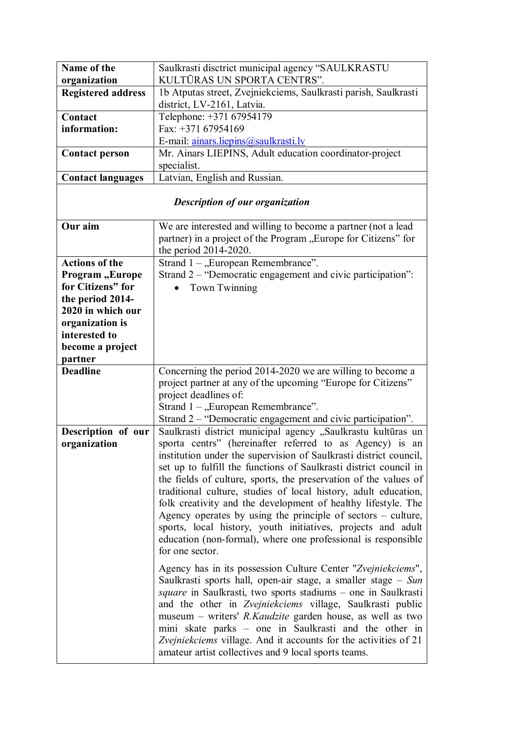| Name of the<br>organization            | Saulkrasti disctrict municipal agency "SAULKRASTU<br>KULTŪRAS UN SPORTA CENTRS". |  |
|----------------------------------------|----------------------------------------------------------------------------------|--|
| <b>Registered address</b>              | 1b Atputas street, Zvejniekciems, Saulkrasti parish, Saulkrasti                  |  |
|                                        | district, LV-2161, Latvia.                                                       |  |
| Contact                                | Telephone: +371 67954179                                                         |  |
| information:                           | Fax: +371 67954169                                                               |  |
|                                        | E-mail: ainars.liepins@saulkrasti.lv                                             |  |
| <b>Contact person</b>                  | Mr. Ainars LIEPINS, Adult education coordinator-project                          |  |
|                                        | specialist.                                                                      |  |
| <b>Contact languages</b>               | Latvian, English and Russian.                                                    |  |
|                                        |                                                                                  |  |
| <b>Description of our organization</b> |                                                                                  |  |
| Our aim                                | We are interested and willing to become a partner (not a lead                    |  |
|                                        | partner) in a project of the Program "Europe for Citizens" for                   |  |
|                                        | the period 2014-2020.                                                            |  |
| <b>Actions of the</b>                  | Strand $1 -$ , European Remembrance".                                            |  |
| Program, Europe                        | Strand 2 – "Democratic engagement and civic participation":                      |  |
| for Citizens" for                      | Town Twinning                                                                    |  |
| the period 2014-                       |                                                                                  |  |
| 2020 in which our                      |                                                                                  |  |
| organization is                        |                                                                                  |  |
| interested to                          |                                                                                  |  |
| become a project                       |                                                                                  |  |
| partner                                |                                                                                  |  |
| <b>Deadline</b>                        | Concerning the period 2014-2020 we are willing to become a                       |  |
|                                        | project partner at any of the upcoming "Europe for Citizens"                     |  |
|                                        | project deadlines of:                                                            |  |
|                                        | Strand $1 -$ , European Remembrance".                                            |  |
|                                        | Strand 2 – "Democratic engagement and civic participation".                      |  |
| Description of our                     | Saulkrasti district municipal agency "Saulkrastu kultūras un                     |  |
| organization                           | sporta centrs" (hereinafter referred to as Agency) is an                         |  |
|                                        | institution under the supervision of Saulkrasti district council,                |  |
|                                        | set up to fulfill the functions of Saulkrasti district council in                |  |
|                                        | the fields of culture, sports, the preservation of the values of                 |  |
|                                        | traditional culture, studies of local history, adult education,                  |  |
|                                        | folk creativity and the development of healthy lifestyle. The                    |  |
|                                        |                                                                                  |  |
|                                        | Agency operates by using the principle of sectors $-$ culture,                   |  |
|                                        | sports, local history, youth initiatives, projects and adult                     |  |
|                                        | education (non-formal), where one professional is responsible                    |  |
|                                        | for one sector.                                                                  |  |
|                                        | Agency has in its possession Culture Center "Zvejniekciems",                     |  |
|                                        | Saulkrasti sports hall, open-air stage, a smaller stage $-$ Sun                  |  |
|                                        | square in Saulkrasti, two sports stadiums – one in Saulkrasti                    |  |
|                                        | and the other in Zvejniekciems village, Saulkrasti public                        |  |
|                                        | museum – writers' <i>R.Kaudzite</i> garden house, as well as two                 |  |
|                                        | mini skate parks – one in Saulkrasti and the other in                            |  |
|                                        | Zvejniekciems village. And it accounts for the activities of 21                  |  |
|                                        | amateur artist collectives and 9 local sports teams.                             |  |
|                                        |                                                                                  |  |